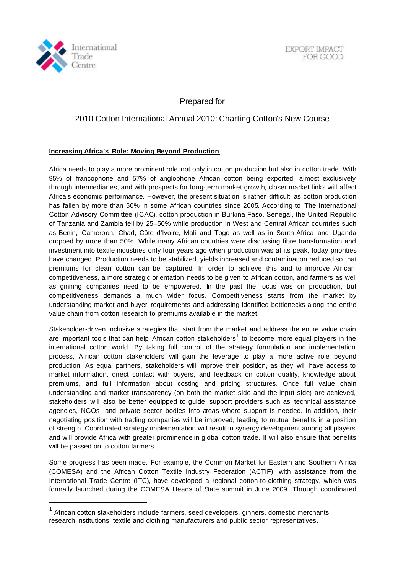

l

EXPORT IMPACT FOR GOOD

Prepared for

## 2010 Cotton International Annual 2010: Charting Cotton's New Course

## **Increasing Africa's Role: Moving Beyond Production**

Africa needs to play a more prominent role not only in cotton production but also in cotton trade. With 95% of francophone and 57% of anglophone African cotton being exported, almost exclusively through intermediaries, and with prospects for long-term market growth, closer market links will affect Africa's economic performance. However, the present situation is rather difficult, as cotton production has fallen by more than 50% in some African countries since 2005. According to The International Cotton Advisory Committee (ICAC), cotton production in Burkina Faso, Senegal, the United Republic of Tanzania and Zambia fell by 25–50% while production in West and Central African countries such as Benin, Cameroon, Chad, Côte d'Ivoire, Mali and Togo as well as in South Africa and Uganda dropped by more than 50%. While many African countries were discussing fibre transformation and investment into textile industries only four years ago when production was at its peak, today priorities have changed. Production needs to be stabilized, yields increased and contamination reduced so that premiums for clean cotton can be captured. In order to achieve this and to improve African competitiveness, a more strategic orientation needs to be given to African cotton, and farmers as well as ginning companies need to be empowered. In the past the focus was on production, but competitiveness demands a much wider focus. Competitiveness starts from the market by understanding market and buyer requirements and addressing identified bottlenecks along the entire value chain from cotton research to premiums available in the market.

Stakeholder-driven inclusive strategies that start from the market and address the entire value chain are important tools that can help African cotton stakeholders<sup>1</sup> to become more equal players in the international cotton world. By taking full control of the strategy formulation and implementation process, African cotton stakeholders will gain the leverage to play a more active role beyond production. As equal partners, stakeholders will improve their position, as they will have access to market information, direct contact with buyers, and feedback on cotton quality, knowledge about premiums, and full information about costing and pricing structures. Once full value chain understanding and market transparency (on both the market side and the input side) are achieved, stakeholders will also be better equipped to guide support providers such as technical assistance agencies, NGOs, and private sector bodies into areas where support is needed. In addition, their negotiating position with trading companies will be improved, leading to mutual benefits in a position of strength. Coordinated strategy implementation will result in synergy development among all players and will provide Africa with greater prominence in global cotton trade. It will also ensure that benefits will be passed on to cotton farmers.

Some progress has been made. For example, the Common Market for Eastern and Southern Africa (COMESA) and the African Cotton Textile Industry Federation (ACTIF), with assistance from the International Trade Centre (ITC), have developed a regional cotton-to-clothing strategy, which was formally launched during the COMESA Heads of State summit in June 2009. Through coordinated

 $1$  African cotton stakeholders include farmers, seed developers, ginners, domestic merchants, research institutions, textile and clothing manufacturers and public sector representatives.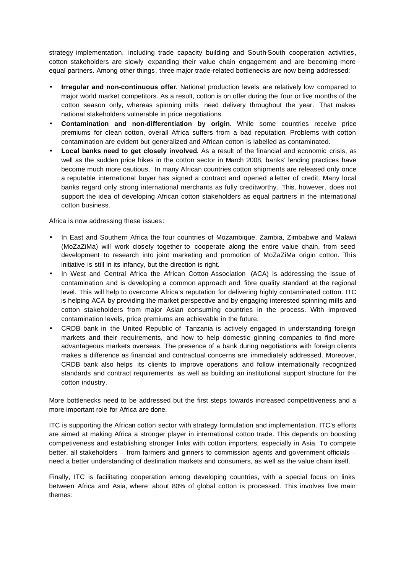strategy implementation, including trade capacity building and South-South cooperation activities, cotton stakeholders are slowly expanding their value chain engagement and are becoming more equal partners. Among other things, three major trade-related bottlenecks are now being addressed:

- **Irregular and non-continuous offer**. National production levels are relatively low compared to major world market competitors. As a result, cotton is on offer during the four or five months of the cotton season only, whereas spinning mills need delivery throughout the year. That makes national stakeholders vulnerable in price negotiations.
- **Contamination and non-differentiation by origin**. While some countries receive price premiums for clean cotton, overall Africa suffers from a bad reputation. Problems with cotton contamination are evident but generalized and African cotton is labelled as contaminated.
- **Local banks need to get closely involved**. As a result of the financial and economic crisis, as well as the sudden price hikes in the cotton sector in March 2008, banks' lending practices have become much more cautious. In many African countries cotton shipments are released only once a reputable international buyer has signed a contract and opened a letter of credit. Many local banks regard only strong international merchants as fully creditworthy. This, however, does not support the idea of developing African cotton stakeholders as equal partners in the international cotton business.

Africa is now addressing these issues:

- In East and Southern Africa the four countries of Mozambique, Zambia, Zimbabwe and Malawi (MoZaZiMa) will work closely together to cooperate along the entire value chain, from seed development to research into joint marketing and promotion of MoZaZiMa origin cotton. This initiative is still in its infancy, but the direction is right.
- In West and Central Africa the African Cotton Association (ACA) is addressing the issue of contamination and is developing a common approach and fibre quality standard at the regional level. This will help to overcome Africa's reputation for delivering highly contaminated cotton. ITC is helping ACA by providing the market perspective and by engaging interested spinning mills and cotton stakeholders from major Asian consuming countries in the process. With improved contamination levels, price premiums are achievable in the future.
- CRDB bank in the United Republic of Tanzania is actively engaged in understanding foreign markets and their requirements, and how to help domestic ginning companies to find more advantageous markets overseas. The presence of a bank during negotiations with foreign clients makes a difference as financial and contractual concerns are immediately addressed. Moreover, CRDB bank also helps its clients to improve operations and follow internationally recognized standards and contract requirements, as well as building an institutional support structure for the cotton industry.

More bottlenecks need to be addressed but the first steps towards increased competitiveness and a more important role for Africa are done.

ITC is supporting the African cotton sector with strategy formulation and implementation. ITC's efforts are aimed at making Africa a stronger player in international cotton trade. This depends on boosting competiveness and establishing stronger links with cotton importers, especially in Asia. To compete better, all stakeholders – from farmers and ginners to commission agents and government officials – need a better understanding of destination markets and consumers, as well as the value chain itself.

Finally, ITC is facilitating cooperation among developing countries, with a special focus on links between Africa and Asia, where about 80% of global cotton is processed. This involves five main themes: